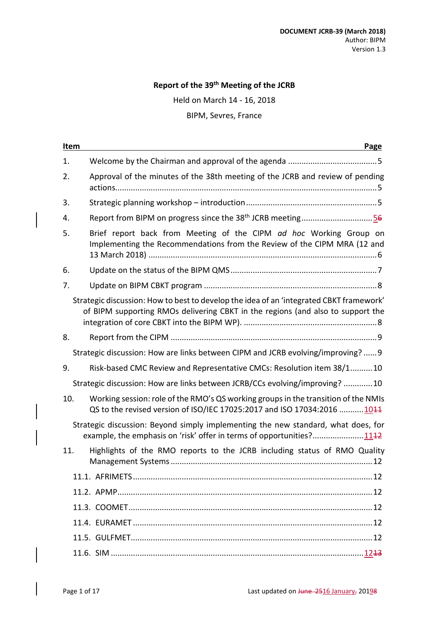#### **Report of the 39 th Meeting of the JCRB**

Held on March 14 - 16, 2018

### BIPM, Sevres, France

| Item | Page                                                                                                                                                                       |
|------|----------------------------------------------------------------------------------------------------------------------------------------------------------------------------|
| 1.   |                                                                                                                                                                            |
| 2.   | Approval of the minutes of the 38th meeting of the JCRB and review of pending                                                                                              |
| 3.   |                                                                                                                                                                            |
| 4.   | Report from BIPM on progress since the 38 <sup>th</sup> JCRB meeting56                                                                                                     |
| 5.   | Brief report back from Meeting of the CIPM ad hoc Working Group on<br>Implementing the Recommendations from the Review of the CIPM MRA (12 and                             |
| 6.   |                                                                                                                                                                            |
| 7.   |                                                                                                                                                                            |
|      | Strategic discussion: How to best to develop the idea of an 'integrated CBKT framework'<br>of BIPM supporting RMOs delivering CBKT in the regions (and also to support the |
| 8.   |                                                                                                                                                                            |
|      | Strategic discussion: How are links between CIPM and JCRB evolving/improving?  9                                                                                           |
| 9.   | Risk-based CMC Review and Representative CMCs: Resolution item 38/110                                                                                                      |
|      | Strategic discussion: How are links between JCRB/CCs evolving/improving? 10                                                                                                |
| 10.  | Working session: role of the RMO's QS working groups in the transition of the NMIs<br>QS to the revised version of ISO/IEC 17025:2017 and ISO 17034:2016 1044              |
|      | Strategic discussion: Beyond simply implementing the new standard, what does, for<br>example, the emphasis on 'risk' offer in terms of opportunities?1142                  |
| 11.  | Highlights of the RMO reports to the JCRB including status of RMO Quality                                                                                                  |
|      |                                                                                                                                                                            |
|      |                                                                                                                                                                            |
|      |                                                                                                                                                                            |
|      |                                                                                                                                                                            |
|      |                                                                                                                                                                            |
|      |                                                                                                                                                                            |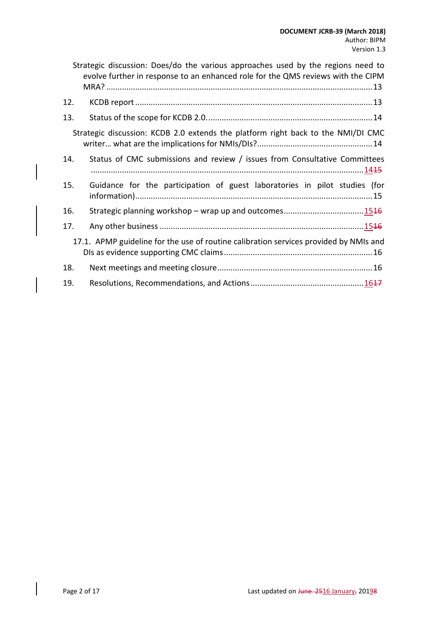|                                                                                  | Strategic discussion: Does/do the various approaches used by the regions need to<br>evolve further in response to an enhanced role for the QMS reviews with the CIPM |  |  |
|----------------------------------------------------------------------------------|----------------------------------------------------------------------------------------------------------------------------------------------------------------------|--|--|
| 12.                                                                              |                                                                                                                                                                      |  |  |
| 13.                                                                              |                                                                                                                                                                      |  |  |
| Strategic discussion: KCDB 2.0 extends the platform right back to the NMI/DI CMC |                                                                                                                                                                      |  |  |
| 14.                                                                              | Status of CMC submissions and review / issues from Consultative Committees                                                                                           |  |  |
| 15.                                                                              | Guidance for the participation of guest laboratories in pilot studies (for                                                                                           |  |  |
| 16.                                                                              |                                                                                                                                                                      |  |  |
| 17.                                                                              |                                                                                                                                                                      |  |  |
|                                                                                  | 17.1. APMP guideline for the use of routine calibration services provided by NMIs and                                                                                |  |  |
| 18.                                                                              |                                                                                                                                                                      |  |  |
| 19.                                                                              |                                                                                                                                                                      |  |  |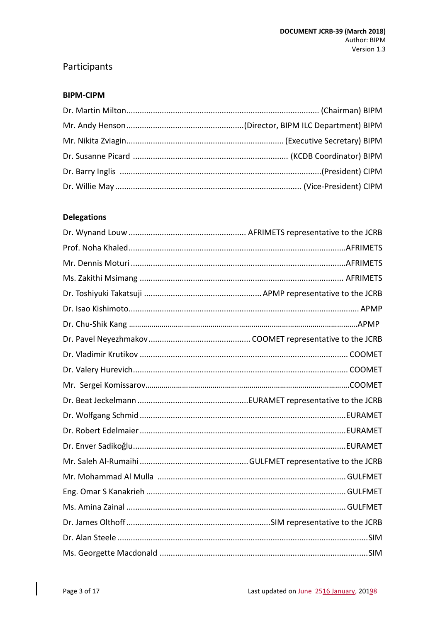# Participants

#### **BIPM-CIPM**

### **Delegations**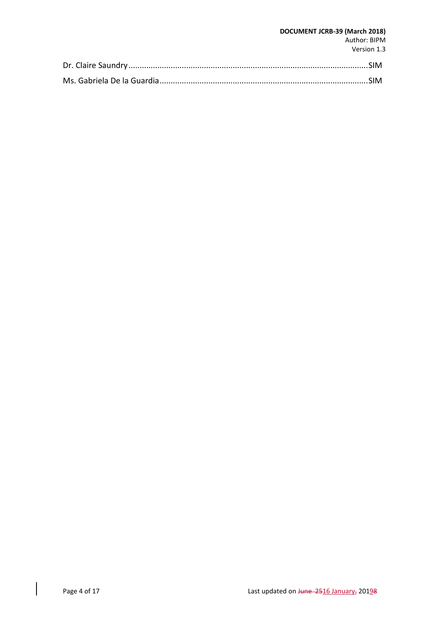#### **DOCUMENT JCRB-39 (March 2018)** Author: BIPM Version 1.3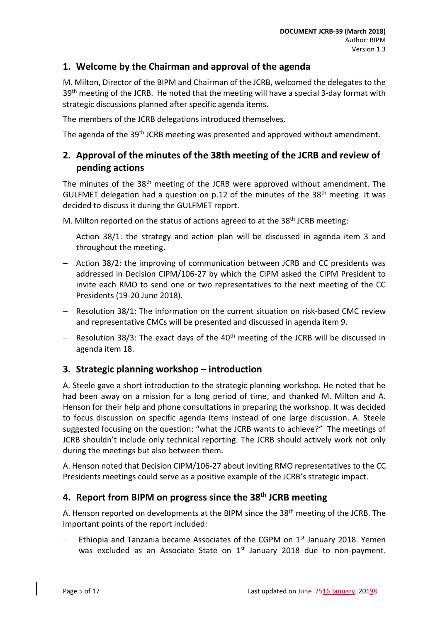### <span id="page-4-0"></span>**1. Welcome by the Chairman and approval of the agenda**

M. Milton, Director of the BIPM and Chairman of the JCRB, welcomed the delegates to the 39<sup>th</sup> meeting of the JCRB. He noted that the meeting will have a special 3-day format with strategic discussions planned after specific agenda items.

The members of the JCRB delegations introduced themselves.

The agenda of the 39<sup>th</sup> JCRB meeting was presented and approved without amendment.

## <span id="page-4-1"></span>**2. Approval of the minutes of the 38th meeting of the JCRB and review of pending actions**

The minutes of the 38<sup>th</sup> meeting of the JCRB were approved without amendment. The GULFMET delegation had a question on p.12 of the minutes of the 38<sup>th</sup> meeting. It was decided to discuss it during the GULFMET report.

M. Milton reported on the status of actions agreed to at the 38<sup>th</sup> JCRB meeting:

- $-$  Action 38/1: the strategy and action plan will be discussed in agenda item 3 and throughout the meeting.
- Action 38/2: the improving of communication between JCRB and CC presidents was addressed in Decision CIPM/106-27 by which the CIPM asked the CIPM President to invite each RMO to send one or two representatives to the next meeting of the CC Presidents (19-20 June 2018).
- Resolution 38/1: The information on the current situation on risk-based CMC review and representative CMCs will be presented and discussed in agenda item 9.
- $-$  Resolution 38/3: The exact days of the 40<sup>th</sup> meeting of the JCRB will be discussed in agenda item 18.

### <span id="page-4-2"></span>**3. Strategic planning workshop – introduction**

A. Steele gave a short introduction to the strategic planning workshop. He noted that he had been away on a mission for a long period of time, and thanked M. Milton and A. Henson for their help and phone consultations in preparing the workshop. It was decided to focus discussion on specific agenda items instead of one large discussion. A. Steele suggested focusing on the question: "what the JCRB wants to achieve?" The meetings of JCRB shouldn't include only technical reporting. The JCRB should actively work not only during the meetings but also between them.

A. Henson noted that Decision CIPM/106-27 about inviting RMO representatives to the CC Presidents meetings could serve as a positive example of the JCRB's strategic impact.

## <span id="page-4-3"></span>**4. Report from BIPM on progress since the 38 th JCRB meeting**

A. Henson reported on developments at the BIPM since the 38<sup>th</sup> meeting of the JCRB. The important points of the report included:

Ethiopia and Tanzania became Associates of the CGPM on 1<sup>st</sup> January 2018. Yemen was excluded as an Associate State on 1<sup>st</sup> January 2018 due to non-payment.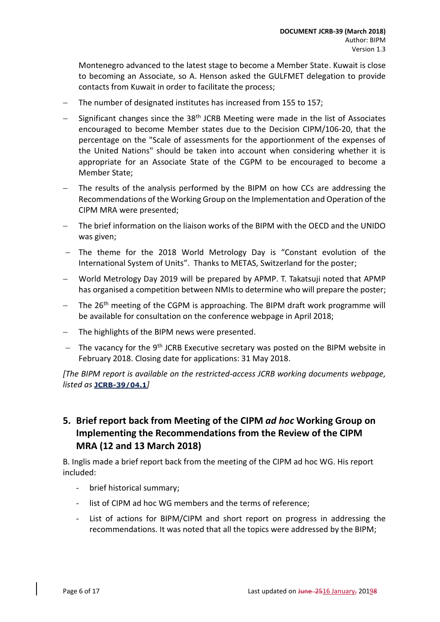Montenegro advanced to the latest stage to become a Member State. Kuwait is close to becoming an Associate, so A. Henson asked the GULFMET delegation to provide contacts from Kuwait in order to facilitate the process;

- The number of designated institutes has increased from 155 to 157;
- Significant changes since the 38<sup>th</sup> JCRB Meeting were made in the list of Associates encouraged to become Member states due to the Decision CIPM/106-20, that the percentage on the "Scale of assessments for the apportionment of the expenses of the United Nations" should be taken into account when considering whether it is appropriate for an Associate State of the CGPM to be encouraged to become a Member State;
- The results of the analysis performed by the BIPM on how CCs are addressing the Recommendations of the Working Group on the Implementation and Operation of the CIPM MRA were presented;
- The brief information on the liaison works of the BIPM with the OECD and the UNIDO was given;
- The theme for the 2018 World Metrology Day is "Constant evolution of the International System of Units". Thanks to METAS, Switzerland for the poster;
- World Metrology Day 2019 will be prepared by APMP. T. Takatsuji noted that APMP has organised a competition between NMIs to determine who will prepare the poster;
- The  $26<sup>th</sup>$  meeting of the CGPM is approaching. The BIPM draft work programme will be available for consultation on the conference webpage in April 2018;
- The highlights of the BIPM news were presented.
- $-$  The vacancy for the 9<sup>th</sup> JCRB Executive secretary was posted on the BIPM website in February 2018. Closing date for applications: 31 May 2018.

*[The BIPM report is available on the restricted-access JCRB working documents webpage, listed as* **[JCRB-39/04.1](https://www.bipm.org/cc/JCRB/Restricted/39/39-03.0_BIPM_Report_Progress_v4.pptx)***]*

## <span id="page-5-0"></span>**5. Brief report back from Meeting of the CIPM** *ad hoc* **Working Group on Implementing the Recommendations from the Review of the CIPM MRA (12 and 13 March 2018)**

B. Inglis made a brief report back from the meeting of the CIPM ad hoc WG. His report included:

- brief historical summary;
- list of CIPM ad hoc WG members and the terms of reference;
- List of actions for BIPM/CIPM and short report on progress in addressing the recommendations. It was noted that all the topics were addressed by the BIPM;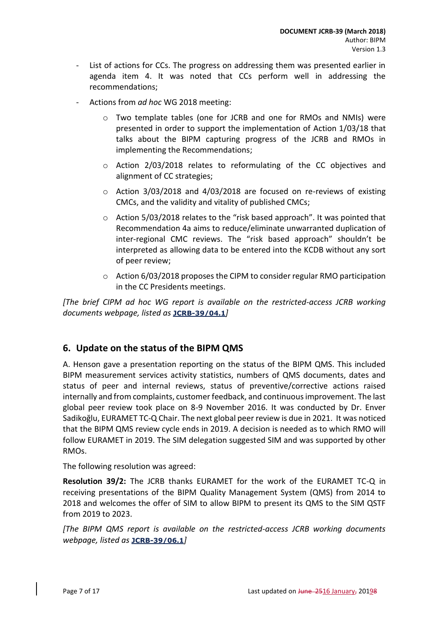- List of actions for CCs. The progress on addressing them was presented earlier in agenda item 4. It was noted that CCs perform well in addressing the recommendations;
- Actions from *ad hoc* WG 2018 meeting:
	- o Two template tables (one for JCRB and one for RMOs and NMIs) were presented in order to support the implementation of Action 1/03/18 that talks about the BIPM capturing progress of the JCRB and RMOs in implementing the Recommendations;
	- o Action 2/03/2018 relates to reformulating of the CC objectives and alignment of CC strategies;
	- $\circ$  Action 3/03/2018 and 4/03/2018 are focused on re-reviews of existing CMCs, and the validity and vitality of published CMCs;
	- $\circ$  Action 5/03/2018 relates to the "risk based approach". It was pointed that Recommendation 4a aims to reduce/eliminate unwarranted duplication of inter-regional CMC reviews. The "risk based approach" shouldn't be interpreted as allowing data to be entered into the KCDB without any sort of peer review;
	- $\circ$  Action 6/03/2018 proposes the CIPM to consider regular RMO participation in the CC Presidents meetings.

*[The brief CIPM ad hoc WG report is available on the restricted-access JCRB working documents webpage, listed as* **[JCRB-39/04.1](https://www.bipm.org/cc/JCRB/Restricted/39/39-03.0_BIPM_Report_Progress_v4.pptx)***]*

### <span id="page-6-0"></span>**6. Update on the status of the BIPM QMS**

A. Henson gave a presentation reporting on the status of the BIPM QMS. This included BIPM measurement services activity statistics, numbers of QMS documents, dates and status of peer and internal reviews, status of preventive/corrective actions raised internally and from complaints, customer feedback, and continuous improvement. The last global peer review took place on 8-9 November 2016. It was conducted by Dr. Enver Sadikoğlu, EURAMET TC-Q Chair. The next global peer review is due in 2021. It was noticed that the BIPM QMS review cycle ends in 2019. A decision is needed as to which RMO will follow EURAMET in 2019. The SIM delegation suggested SIM and was supported by other RMOs.

The following resolution was agreed:

**Resolution 39/2:** The JCRB thanks EURAMET for the work of the EURAMET TC-Q in receiving presentations of the BIPM Quality Management System (QMS) from 2014 to 2018 and welcomes the offer of SIM to allow BIPM to present its QMS to the SIM QSTF from 2019 to 2023.

*[The BIPM QMS report is available on the restricted-access JCRB working documents webpage, listed as* **[JCRB-39/06.1](https://www.bipm.org/cc/JCRB/Restricted/39/BIPM_QMS_presentation_to_JCRB_2018_final.pptx)***]*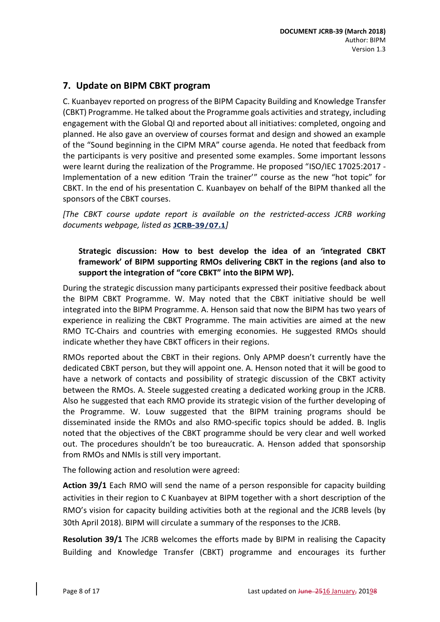## <span id="page-7-0"></span>**7. Update on BIPM CBKT program**

C. Kuanbayev reported on progress of the BIPM Capacity Building and Knowledge Transfer (CBKT) Programme. He talked about the Programme goals activities and strategy, including engagement with the Global QI and reported about all initiatives: completed, ongoing and planned. He also gave an overview of courses format and design and showed an example of the "Sound beginning in the CIPM MRA" course agenda. He noted that feedback from the participants is very positive and presented some examples. Some important lessons were learnt during the realization of the Programme. He proposed "ISO/IEC 17025:2017 - Implementation of a new edition 'Train the trainer'" course as the new "hot topic" for CBKT. In the end of his presentation C. Kuanbayev on behalf of the BIPM thanked all the sponsors of the CBKT courses.

*[The CBKT course update report is available on the restricted-access JCRB working documents webpage, listed as* **[JCRB-39/07.1](https://www.bipm.org/cc/JCRB/Restricted/39/2018_03_CB&KT_updates.pptx)***]*

### <span id="page-7-1"></span>**Strategic discussion: How to best develop the idea of an 'integrated CBKT framework' of BIPM supporting RMOs delivering CBKT in the regions (and also to support the integration of "core CBKT" into the BIPM WP).**

During the strategic discussion many participants expressed their positive feedback about the BIPM CBKT Programme. W. May noted that the CBKT initiative should be well integrated into the BIPM Programme. A. Henson said that now the BIPM has two years of experience in realizing the CBKT Programme. The main activities are aimed at the new RMO TC-Chairs and countries with emerging economies. He suggested RMOs should indicate whether they have CBKT officers in their regions.

RMOs reported about the CBKT in their regions. Only APMP doesn't currently have the dedicated CBKT person, but they will appoint one. A. Henson noted that it will be good to have a network of contacts and possibility of strategic discussion of the CBKT activity between the RMOs. A. Steele suggested creating a dedicated working group in the JCRB. Also he suggested that each RMO provide its strategic vision of the further developing of the Programme. W. Louw suggested that the BIPM training programs should be disseminated inside the RMOs and also RMO-specific topics should be added. B. Inglis noted that the objectives of the CBKT programme should be very clear and well worked out. The procedures shouldn't be too bureaucratic. A. Henson added that sponsorship from RMOs and NMIs is still very important.

The following action and resolution were agreed:

**Action 39/1** Each RMO will send the name of a person responsible for capacity building activities in their region to C Kuanbayev at BIPM together with a short description of the RMO's vision for capacity building activities both at the regional and the JCRB levels (by 30th April 2018). BIPM will circulate a summary of the responses to the JCRB.

**Resolution 39/1** The JCRB welcomes the efforts made by BIPM in realising the Capacity Building and Knowledge Transfer (CBKT) programme and encourages its further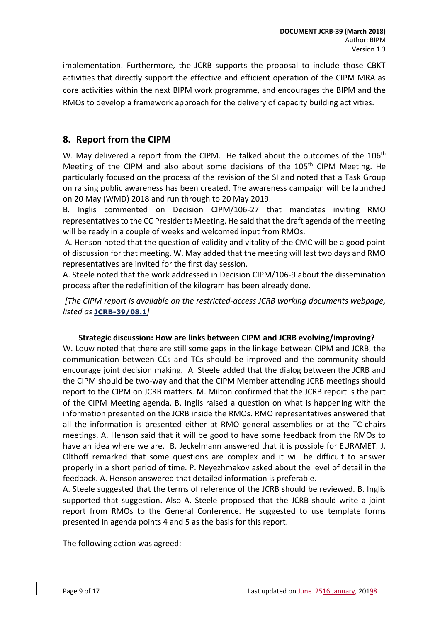implementation. Furthermore, the JCRB supports the proposal to include those CBKT activities that directly support the effective and efficient operation of the CIPM MRA as core activities within the next BIPM work programme, and encourages the BIPM and the RMOs to develop a framework approach for the delivery of capacity building activities.

### <span id="page-8-0"></span>**8. Report from the CIPM**

W. May delivered a report from the CIPM. He talked about the outcomes of the 106<sup>th</sup> Meeting of the CIPM and also about some decisions of the  $105<sup>th</sup>$  CIPM Meeting. He particularly focused on the process of the revision of the SI and noted that a Task Group on raising public awareness has been created. The awareness campaign will be launched on 20 May (WMD) 2018 and run through to 20 May 2019.

B. Inglis commented on Decision CIPM/106-27 that mandates inviting RMO representatives to the CC Presidents Meeting. He said that the draft agenda of the meeting will be ready in a couple of weeks and welcomed input from RMOs.

A. Henson noted that the question of validity and vitality of the CMC will be a good point of discussion for that meeting. W. May added that the meeting will last two days and RMO representatives are invited for the first day session.

A. Steele noted that the work addressed in Decision CIPM/106-9 about the dissemination process after the redefinition of the kilogram has been already done.

*[The CIPM report is available on the restricted-access JCRB working documents webpage, listed as* **[JCRB-39/08.1](https://www.bipm.org/cc/JCRB/Restricted/39/39-08.0_CIPM_Report.pptx)***]*

#### **Strategic discussion: How are links between CIPM and JCRB evolving/improving?**

<span id="page-8-1"></span>W. Louw noted that there are still some gaps in the linkage between CIPM and JCRB, the communication between CCs and TCs should be improved and the community should encourage joint decision making. A. Steele added that the dialog between the JCRB and the CIPM should be two-way and that the CIPM Member attending JCRB meetings should report to the CIPM on JCRB matters. M. Milton confirmed that the JCRB report is the part of the CIPM Meeting agenda. B. Inglis raised a question on what is happening with the information presented on the JCRB inside the RMOs. RMO representatives answered that all the information is presented either at RMO general assemblies or at the TC-chairs meetings. A. Henson said that it will be good to have some feedback from the RMOs to have an idea where we are. B. Jeckelmann answered that it is possible for EURAMET. J. Olthoff remarked that some questions are complex and it will be difficult to answer properly in a short period of time. P. Neyezhmakov asked about the level of detail in the feedback. A. Henson answered that detailed information is preferable.

A. Steele suggested that the terms of reference of the JCRB should be reviewed. B. Inglis supported that suggestion. Also A. Steele proposed that the JCRB should write a joint report from RMOs to the General Conference. He suggested to use template forms presented in agenda points 4 and 5 as the basis for this report.

The following action was agreed: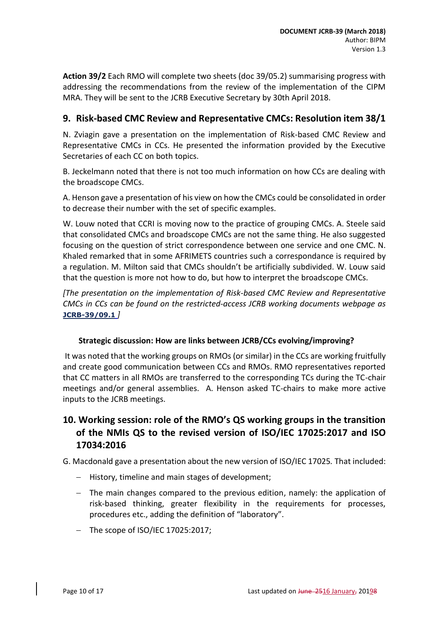**Action 39/2** Each RMO will complete two sheets (doc 39/05.2) summarising progress with addressing the recommendations from the review of the implementation of the CIPM MRA. They will be sent to the JCRB Executive Secretary by 30th April 2018.

### <span id="page-9-0"></span>**9. Risk-based CMC Review and Representative CMCs: Resolution item 38/1**

N. Zviagin gave a presentation on the implementation of Risk-based CMC Review and Representative CMCs in CCs. He presented the information provided by the Executive Secretaries of each CC on both topics.

B. Jeckelmann noted that there is not too much information on how CCs are dealing with the broadscope CMCs.

A. Henson gave a presentation of his view on how the CMCs could be consolidated in order to decrease their number with the set of specific examples.

W. Louw noted that CCRI is moving now to the practice of grouping CMCs. A. Steele said that consolidated CMCs and broadscope CMCs are not the same thing. He also suggested focusing on the question of strict correspondence between one service and one CMC. N. Khaled remarked that in some AFRIMETS countries such a correspondance is required by a regulation. M. Milton said that CMCs shouldn't be artificially subdivided. W. Louw said that the question is more not how to do, but how to interpret the broadscope CMCs.

*[The presentation on the implementation of Risk-based CMC Review and Representative CMCs in CCs can be found on the restricted-access JCRB working documents webpage a[s](https://www.bipm.org/cc/JCRB/Restricted/38/Broad_scope_groupv03finaldoc.docx)*  **[JCRB-39/09.1](https://www.bipm.org/cc/JCRB/Restricted/38/Broad_scope_groupv03finaldoc.docx)** *]*

### **Strategic discussion: How are links between JCRB/CCs evolving/improving?**

<span id="page-9-1"></span>It was noted that the working groups on RMOs (or similar) in the CCs are working fruitfully and create good communication between CCs and RMOs. RMO representatives reported that CC matters in all RMOs are transferred to the corresponding TCs during the TC-chair meetings and/or general assemblies. A. Henson asked TC-chairs to make more active inputs to the JCRB meetings.

## <span id="page-9-2"></span>**10. Working session: role of the RMO's QS working groups in the transition of the NMIs QS to the revised version of ISO/IEC 17025:2017 and ISO 17034:2016**

G. Macdonald gave a presentation about the new version of ISO/IEC 17025*.* That included:

- $-$  History, timeline and main stages of development;
- $-$  The main changes compared to the previous edition, namely: the application of risk-based thinking, greater flexibility in the requirements for processes, procedures etc., adding the definition of "laboratory".
- $-$  The scope of ISO/IEC 17025:2017: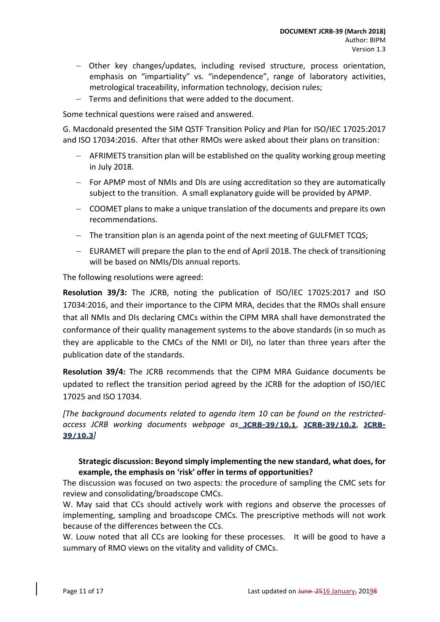- Other key changes/updates, including revised structure, process orientation, emphasis on "impartiality" vs. "independence", range of laboratory activities, metrological traceability, information technology, decision rules;
- Terms and definitions that were added to the document.

Some technical questions were raised and answered.

G. Macdonald presented the SIM QSTF Transition Policy and Plan for ISO/IEC 17025:2017 and ISO 17034:2016. After that other RMOs were asked about their plans on transition:

- AFRIMETS transition plan will be established on the quality working group meeting in July 2018.
- For APMP most of NMIs and DIs are using accreditation so they are automatically subject to the transition. A small explanatory guide will be provided by APMP.
- COOMET plans to make a unique translation of the documents and prepare its own recommendations.
- $-$  The transition plan is an agenda point of the next meeting of GULFMET TCQS;
- EURAMET will prepare the plan to the end of April 2018. The check of transitioning will be based on NMIs/DIs annual reports.

The following resolutions were agreed:

**Resolution 39/3:** The JCRB, noting the publication of ISO/IEC 17025:2017 and ISO 17034:2016, and their importance to the CIPM MRA, decides that the RMOs shall ensure that all NMIs and DIs declaring CMCs within the CIPM MRA shall have demonstrated the conformance of their quality management systems to the above standards (in so much as they are applicable to the CMCs of the NMI or DI), no later than three years after the publication date of the standards.

**Resolution 39/4:** The JCRB recommends that the CIPM MRA Guidance documents be updated to reflect the transition period agreed by the JCRB for the adoption of ISO/IEC 17025 and ISO 17034.

*[The background documents related to agenda item 10 can be found on the restrictedaccess JCRB working documents webpage as* **[JCRB-39/10.1](https://www.bipm.org/cc/JCRB/Restricted/39/QSTF_Transition_Policy_Plan_v0-1_for_discussion.docx)**, **[JCRB-39/10.2](https://www.bipm.org/cc/JCRB/Restricted/39/17025-History_and_Revision_Timeline.pdf)**, **[JCRB-](https://www.bipm.org/cc/JCRB/Restricted/39/17025-History_and_Revision_Timeline.pptx)[39/10.3](https://www.bipm.org/cc/JCRB/Restricted/39/17025-History_and_Revision_Timeline.pptx)***]*

#### <span id="page-10-0"></span>**Strategic discussion: Beyond simply implementing the new standard, what does, for example, the emphasis on 'risk' offer in terms of opportunities?**

The discussion was focused on two aspects: the procedure of sampling the CMC sets for review and consolidating/broadscope CMCs.

W. May said that CCs should actively work with regions and observe the processes of implementing, sampling and broadscope CMCs. The prescriptive methods will not work because of the differences between the CCs.

W. Louw noted that all CCs are looking for these processes. It will be good to have a summary of RMO views on the vitality and validity of CMCs.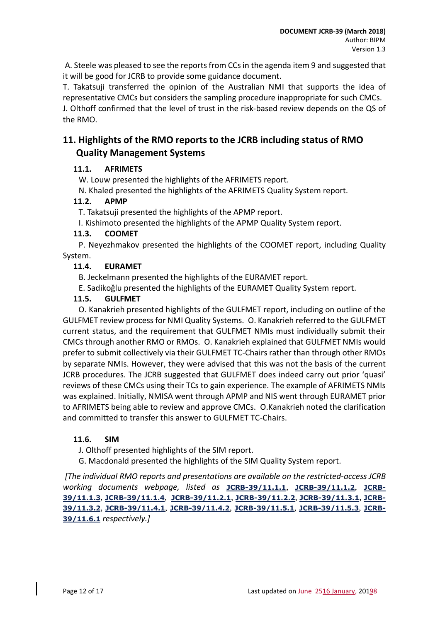A. Steele was pleased to see the reports from CCs in the agenda item 9 and suggested that it will be good for JCRB to provide some guidance document.

T. Takatsuji transferred the opinion of the Australian NMI that supports the idea of representative CMCs but considers the sampling procedure inappropriate for such CMCs.

J. Olthoff confirmed that the level of trust in the risk-based review depends on the QS of the RMO.

## <span id="page-11-0"></span>**11. Highlights of the RMO reports to the JCRB including status of RMO Quality Management Systems**

### <span id="page-11-1"></span>**11.1. AFRIMETS**

W. Louw presented the highlights of the AFRIMETS report.

N. Khaled presented the highlights of the AFRIMETS Quality System report.

### <span id="page-11-2"></span>**11.2. APMP**

T. Takatsuji presented the highlights of the APMP report.

I. Kishimoto presented the highlights of the APMP Quality System report.

### **11.3. COOMET**

<span id="page-11-3"></span>P. Neyezhmakov presented the highlights of the COOMET report, including Quality System.

### <span id="page-11-4"></span>**11.4. EURAMET**

B. Jeckelmann presented the highlights of the EURAMET report.

E. Sadikoǧlu presented the highlights of the EURAMET Quality System report.

### **11.5. GULFMET**

<span id="page-11-5"></span>O. Kanakrieh presented highlights of the GULFMET report, including on outline of the GULFMET review process for NMI Quality Systems. O. Kanakrieh referred to the GULFMET current status, and the requirement that GULFMET NMIs must individually submit their CMCs through another RMO or RMOs. O. Kanakrieh explained that GULFMET NMIs would prefer to submit collectively via their GULFMET TC-Chairs rather than through other RMOs by separate NMIs. However, they were advised that this was not the basis of the current JCRB procedures. The JCRB suggested that GULFMET does indeed carry out prior 'quasi' reviews of these CMCs using their TCs to gain experience. The example of AFRIMETS NMIs was explained. Initially, NMISA went through APMP and NIS went through EURAMET prior to AFRIMETS being able to review and approve CMCs. O.Kanakrieh noted the clarification and committed to transfer this answer to GULFMET TC-Chairs.

### <span id="page-11-6"></span>**11.6. SIM**

J. Olthoff presented highlights of the SIM report.

G. Macdonald presented the highlights of the SIM Quality System report.

*[The individual RMO reports and presentations are available on the restricted-access JCRB working documents webpage, listed as* **[JCRB-39/11.1.1](https://www.bipm.org/cc/JCRB/Restricted/39/AFRIMETS_Report_39th_JCRB_2018.doc)**, **[JCRB-39/11.1.2](https://www.bipm.org/cc/JCRB/Restricted/39/AFRIMETS_QS_Report_39th_JCRB.doc)**, **[JCRB-](https://www.bipm.org/cc/JCRB/Restricted/39/AFRIMETS_QS_report_2018.pptx)[39/11.1.3](https://www.bipm.org/cc/JCRB/Restricted/39/AFRIMETS_QS_report_2018.pptx)**, **[JCRB-39/11.1.4](https://www.bipm.org/cc/JCRB/Restricted/39/AFRIMETS_2018.pptx)**, **[JCRB-39/11.2.1](https://www.bipm.org/cc/JCRB/Restricted/39/APMP_Report_JCRB_2018.doc)**, **[JCRB-39/11.2.2](https://www.bipm.org/cc/JCRB/Restricted/39/APMP_Report_JCRB_2018.pptx)**, **[JCRB-39/11.3.1](https://www.bipm.org/cc/JCRB/Restricted/39/JCRB_39_COOMET_Report.pdf)**, **[JCRB-](https://www.bipm.org/cc/JCRB/Restricted/39/JCRB-39_COOMET_Report.ppt)[39/11.3.2](https://www.bipm.org/cc/JCRB/Restricted/39/JCRB-39_COOMET_Report.ppt)**, **[JCRB-39/11.4.1](https://www.bipm.org/cc/JCRB/Restricted/39/GULFMET_PRESENTATION_39_jcrb.pptx)**, **[JCRB-39/11.4.2](https://www.bipm.org/cc/JCRB/Restricted/39/GULFMET_QS_PRESENTATION_39_jcrb.pptx)**, **[JCRB-39/11.5.1](https://www.bipm.org/cc/JCRB/Restricted/39/EURAMET-Report_39th-JCRB_180305.pdf)**, **[JCRB-39/11.5.3](https://www.bipm.org/cc/JCRB/Restricted/39/EURAMET_TC-Q_for_JCRB2018.pptx)**, **[JCRB-](https://www.bipm.org/cc/JCRB/Restricted/39/SIM_report_to_JCRB-v2.ppt)[39/11.6.1](https://www.bipm.org/cc/JCRB/Restricted/39/SIM_report_to_JCRB-v2.ppt)** *respectively.]*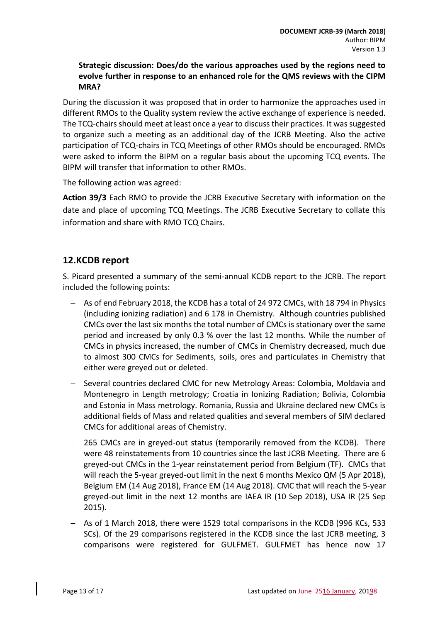### <span id="page-12-0"></span>**Strategic discussion: Does/do the various approaches used by the regions need to evolve further in response to an enhanced role for the QMS reviews with the CIPM MRA?**

During the discussion it was proposed that in order to harmonize the approaches used in different RMOs to the Quality system review the active exchange of experience is needed. The TCQ-chairs should meet at least once a year to discuss their practices. It was suggested to organize such a meeting as an additional day of the JCRB Meeting. Also the active participation of TCQ-chairs in TCQ Meetings of other RMOs should be encouraged. RMOs were asked to inform the BIPM on a regular basis about the upcoming TCQ events. The BIPM will transfer that information to other RMOs.

The following action was agreed:

**Action 39/3** Each RMO to provide the JCRB Executive Secretary with information on the date and place of upcoming TCQ Meetings. The JCRB Executive Secretary to collate this information and share with RMO TCQ Chairs.

## <span id="page-12-1"></span>**12.KCDB report**

S. Picard presented a summary of the semi-annual KCDB report to the JCRB. The report included the following points:

- As of end February 2018, the KCDB has a total of 24 972 CMCs, with 18 794 in Physics (including ionizing radiation) and 6 178 in Chemistry. Although countries published CMCs over the last six months the total number of CMCs is stationary over the same period and increased by only 0.3 % over the last 12 months. While the number of CMCs in physics increased, the number of CMCs in Chemistry decreased, much due to almost 300 CMCs for Sediments, soils, ores and particulates in Chemistry that either were greyed out or deleted.
- Several countries declared CMC for new Metrology Areas: Colombia, Moldavia and Montenegro in Length metrology; Croatia in Ionizing Radiation; Bolivia, Colombia and Estonia in Mass metrology. Romania, Russia and Ukraine declared new CMCs is additional fields of Mass and related qualities and several members of SIM declared CMCs for additional areas of Chemistry.
- 265 CMCs are in greyed-out status (temporarily removed from the KCDB). There were 48 reinstatements from 10 countries since the last JCRB Meeting. There are 6 greyed-out CMCs in the 1-year reinstatement period from Belgium (TF). CMCs that will reach the 5-year greyed-out limit in the next 6 months Mexico QM (5 Apr 2018), Belgium EM (14 Aug 2018), France EM (14 Aug 2018). CMC that will reach the 5-year greyed-out limit in the next 12 months are IAEA IR (10 Sep 2018), USA IR (25 Sep 2015).
- As of 1 March 2018, there were 1529 total comparisons in the KCDB (996 KCs, 533 SCs). Of the 29 comparisons registered in the KCDB since the last JCRB meeting, 3 comparisons were registered for GULFMET. GULFMET has hence now 17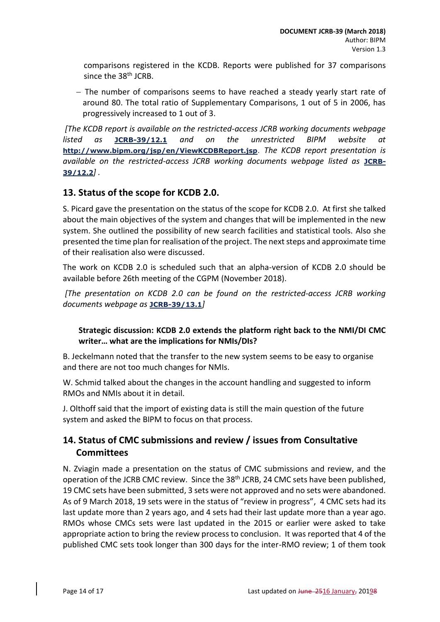comparisons registered in the KCDB. Reports were published for 37 comparisons since the 38<sup>th</sup> JCRB.

- The number of comparisons seems to have reached a steady yearly start rate of around 80. The total ratio of Supplementary Comparisons, 1 out of 5 in 2006, has progressively increased to 1 out of 3.

*[The KCDB report is available on the restricted-access JCRB working documents webpage listed as* **[JCRB-39/12.1](https://www.bipm.org/cc/JCRB/Restricted/39/KCDB_Report_to_39th_JCRB_v1.pdf)** *and on the unrestricted BIPM website at*  **[http://www.bipm.org/jsp/en/ViewKCDBReport.jsp](https://www.bipm.org/jsp/en/ViewKCDBReport.jsp)**. *The KCDB report presentation is*  available on the restricted-access JCRB working documents webpage listed as **[JCRB-](https://www.bipm.org/cc/JCRB/Restricted/39/Presentation_to_the_JCRB_39_Mar_2018_v1.pptx)[39/12.2](https://www.bipm.org/cc/JCRB/Restricted/39/Presentation_to_the_JCRB_39_Mar_2018_v1.pptx)***] .*

### <span id="page-13-0"></span>**13. Status of the scope for KCDB 2.0.**

S. Picard gave the presentation on the status of the scope for KCDB 2.0. At first she talked about the main objectives of the system and changes that will be implemented in the new system. She outlined the possibility of new search facilities and statistical tools. Also she presented the time plan for realisation of the project. The next steps and approximate time of their realisation also were discussed.

The work on KCDB 2.0 is scheduled such that an alpha-version of KCDB 2.0 should be available before 26th meeting of the CGPM (November 2018).

*[The presentation on KCDB 2.0 can be found on the restricted-access JCRB working documents webpage as* **[JCRB-39/13.1](https://www.bipm.org/cc/JCRB/Restricted/39/KCDB_2.0_presentation_to_JCRB_March_2018_v1.pdf)***]*

### <span id="page-13-1"></span>**Strategic discussion: KCDB 2.0 extends the platform right back to the NMI/DI CMC writer… what are the implications for NMIs/DIs?**

B. Jeckelmann noted that the transfer to the new system seems to be easy to organise and there are not too much changes for NMIs.

W. Schmid talked about the changes in the account handling and suggested to inform RMOs and NMIs about it in detail.

J. Olthoff said that the import of existing data is still the main question of the future system and asked the BIPM to focus on that process.

## <span id="page-13-2"></span>**14. Status of CMC submissions and review / issues from Consultative Committees**

N. Zviagin made a presentation on the status of CMC submissions and review, and the operation of the JCRB CMC review. Since the 38<sup>th</sup> JCRB, 24 CMC sets have been published, 19 CMC sets have been submitted, 3 sets were not approved and no sets were abandoned. As of 9 March 2018, 19 sets were in the status of "review in progress", 4 CMC sets had its last update more than 2 years ago, and 4 sets had their last update more than a year ago. RMOs whose CMCs sets were last updated in the 2015 or earlier were asked to take appropriate action to bring the review process to conclusion. It was reported that 4 of the published CMC sets took longer than 300 days for the inter-RMO review; 1 of them took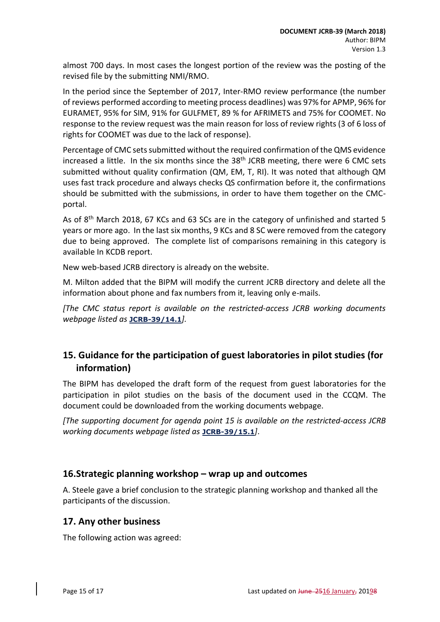almost 700 days. In most cases the longest portion of the review was the posting of the revised file by the submitting NMI/RMO.

In the period since the September of 2017, Inter-RMO review performance (the number of reviews performed according to meeting process deadlines) was 97% for APMP, 96% for EURAMET, 95% for SIM, 91% for GULFMET, 89 % for AFRIMETS and 75% for COOMET. No response to the review request was the main reason for loss of review rights (3 of 6 loss of rights for COOMET was due to the lack of response).

Percentage of CMC sets submitted without the required confirmation of the QMS evidence increased a little. In the six months since the 38<sup>th</sup> JCRB meeting, there were 6 CMC sets submitted without quality confirmation (QM, EM, T, RI). It was noted that although QM uses fast track procedure and always checks QS confirmation before it, the confirmations should be submitted with the submissions, in order to have them together on the CMCportal.

As of 8<sup>th</sup> March 2018, 67 KCs and 63 SCs are in the category of unfinished and started 5 years or more ago. In the last six months, 9 KCs and 8 SC were removed from the category due to being approved. The complete list of comparisons remaining in this category is available In KCDB report.

New web-based JCRB directory is already on the website.

M. Milton added that the BIPM will modify the current JCRB directory and delete all the information about phone and fax numbers from it, leaving only e-mails.

*[The CMC status report is available on the restricted-access JCRB working documents webpage listed as* **[JCRB-39/14.1](https://www.bipm.org/cc/JCRB/Restricted/39/39-11.0_Status_of_CMCs_v2.pptx)***].*

## <span id="page-14-0"></span>**15. Guidance for the participation of guest laboratories in pilot studies (for information)**

The BIPM has developed the draft form of the request from guest laboratories for the participation in pilot studies on the basis of the document used in the CCQM. The document could be downloaded from the working documents webpage.

*[The supporting document for agenda point 15 is available on the restricted-access JCRB working documents webpage listed as* **[JCRB-39/15.1](https://www.bipm.org/cc/JCRB/Restricted/39/Guest_lab_request_form_first_DRAFT_v.1.1.pdf)***]*.

### <span id="page-14-1"></span>**16.Strategic planning workshop – wrap up and outcomes**

A. Steele gave a brief conclusion to the strategic planning workshop and thanked all the participants of the discussion.

### <span id="page-14-2"></span>**17. Any other business**

The following action was agreed: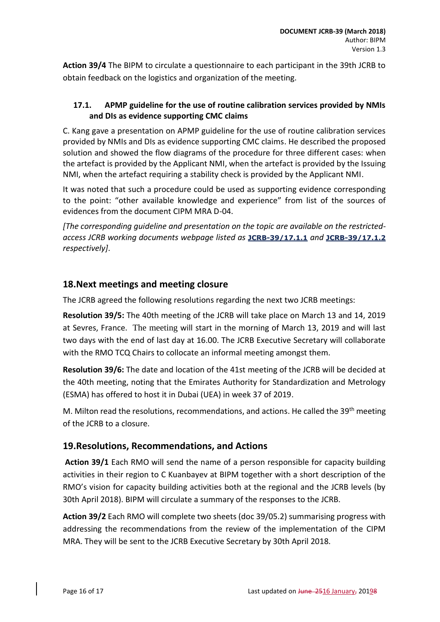**Action 39/4** The BIPM to circulate a questionnaire to each participant in the 39th JCRB to obtain feedback on the logistics and organization of the meeting.

### <span id="page-15-0"></span>**17.1. APMP guideline for the use of routine calibration services provided by NMIs and DIs as evidence supporting CMC claims**

C. Kang gave a presentation on APMP guideline for the use of routine calibration services provided by NMIs and DIs as evidence supporting CMC claims. He described the proposed solution and showed the flow diagrams of the procedure for three different cases: when the artefact is provided by the Applicant NMI, when the artefact is provided by the Issuing NMI, when the artefact requiring a stability check is provided by the Applicant NMI.

It was noted that such a procedure could be used as supporting evidence corresponding to the point: "other available knowledge and experience" from list of the sources of evidences from the document CIPM MRA D-04.

*[The corresponding guideline and presentation on the topic are available on the restrictedaccess JCRB working documents webpage listed as* **[JCRB-39/17.1.1](https://www.bipm.org/cc/JCRB/Restricted/39/Guidelines_for_the_use_of_routine_calibrations_as_CMC_evidence.pdf)** *and* **[JCRB-39/17.1.2](https://www.bipm.org/cc/JCRB/Restricted/39/17.1_Routine_Calibration_as_CMC_evidence.pptx)** *respectively]*.

## <span id="page-15-1"></span>**18.Next meetings and meeting closure**

The JCRB agreed the following resolutions regarding the next two JCRB meetings:

**Resolution 39/5:** The 40th meeting of the JCRB will take place on March 13 and 14, 2019 at Sevres, France. The meeting will start in the morning of March 13, 2019 and will last two days with the end of last day at 16.00. The JCRB Executive Secretary will collaborate with the RMO TCQ Chairs to collocate an informal meeting amongst them.

**Resolution 39/6:** The date and location of the 41st meeting of the JCRB will be decided at the 40th meeting, noting that the Emirates Authority for Standardization and Metrology (ESMA) has offered to host it in Dubai (UEA) in week 37 of 2019.

M. Milton read the resolutions, recommendations, and actions. He called the 39<sup>th</sup> meeting of the JCRB to a closure.

## <span id="page-15-2"></span>**19.Resolutions, Recommendations, and Actions**

**Action 39/1** Each RMO will send the name of a person responsible for capacity building activities in their region to C Kuanbayev at BIPM together with a short description of the RMO's vision for capacity building activities both at the regional and the JCRB levels (by 30th April 2018). BIPM will circulate a summary of the responses to the JCRB.

**Action 39/2** Each RMO will complete two sheets (doc 39/05.2) summarising progress with addressing the recommendations from the review of the implementation of the CIPM MRA. They will be sent to the JCRB Executive Secretary by 30th April 2018.